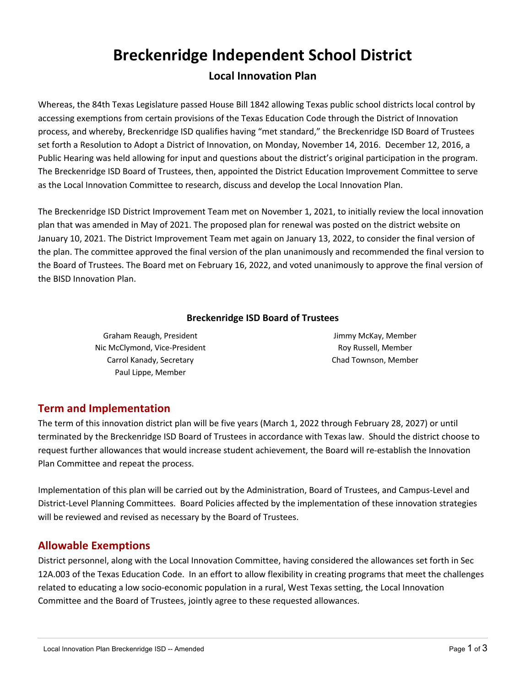# **Breckenridge Independent School District**

## **Local Innovation Plan**

Whereas, the 84th Texas Legislature passed House Bill 1842 allowing Texas public school districts local control by accessing exemptions from certain provisions of the Texas Education Code through the District of Innovation process, and whereby, Breckenridge ISD qualifies having "met standard," the Breckenridge ISD Board of Trustees set forth a Resolution to Adopt a District of Innovation, on Monday, November 14, 2016. December 12, 2016, a Public Hearing was held allowing for input and questions about the district's original participation in the program. The Breckenridge ISD Board of Trustees, then, appointed the District Education Improvement Committee to serve as the Local Innovation Committee to research, discuss and develop the Local Innovation Plan.

The Breckenridge ISD District Improvement Team met on November 1, 2021, to initially review the local innovation plan that was amended in May of 2021. The proposed plan for renewal was posted on the district website on January 10, 2021. The District Improvement Team met again on January 13, 2022, to consider the final version of the plan. The committee approved the final version of the plan unanimously and recommended the final version to the Board of Trustees. The Board met on February 16, 2022, and voted unanimously to approve the final version of the BISD Innovation Plan.

#### **Breckenridge ISD Board of Trustees**

Graham Reaugh, President Nic McClymond, Vice-President Carrol Kanady, Secretary Paul Lippe, Member

Jimmy McKay, Member Roy Russell, Member Chad Townson, Member

## **Term and Implementation**

The term of this innovation district plan will be five years (March 1, 2022 through February 28, 2027) or until terminated by the Breckenridge ISD Board of Trustees in accordance with Texas law. Should the district choose to request further allowances that would increase student achievement, the Board will re-establish the Innovation Plan Committee and repeat the process.

Implementation of this plan will be carried out by the Administration, Board of Trustees, and Campus-Level and District-Level Planning Committees. Board Policies affected by the implementation of these innovation strategies will be reviewed and revised as necessary by the Board of Trustees.

## **Allowable Exemptions**

District personnel, along with the Local Innovation Committee, having considered the allowances set forth in Sec 12A.003 of the Texas Education Code. In an effort to allow flexibility in creating programs that meet the challenges related to educating a low socio-economic population in a rural, West Texas setting, the Local Innovation Committee and the Board of Trustees, jointly agree to these requested allowances.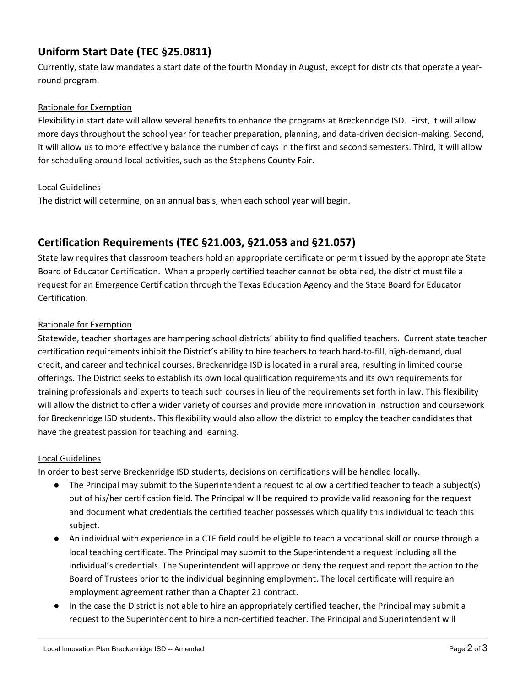# **Uniform Start Date (TEC §25.0811)**

Currently, state law mandates a start date of the fourth Monday in August, except for districts that operate a yearround program.

#### Rationale for Exemption

Flexibility in start date will allow several benefits to enhance the programs at Breckenridge ISD. First, it will allow more days throughout the school year for teacher preparation, planning, and data-driven decision-making. Second, it will allow us to more effectively balance the number of days in the first and second semesters. Third, it will allow for scheduling around local activities, such as the Stephens County Fair.

#### Local Guidelines

The district will determine, on an annual basis, when each school year will begin.

## **Certification Requirements (TEC §21.003, §21.053 and §21.057)**

State law requires that classroom teachers hold an appropriate certificate or permit issued by the appropriate State Board of Educator Certification. When a properly certified teacher cannot be obtained, the district must file a request for an Emergence Certification through the Texas Education Agency and the State Board for Educator Certification.

#### Rationale for Exemption

Statewide, teacher shortages are hampering school districts' ability to find qualified teachers. Current state teacher certification requirements inhibit the District's ability to hire teachers to teach hard-to-fill, high-demand, dual credit, and career and technical courses. Breckenridge ISD is located in a rural area, resulting in limited course offerings. The District seeks to establish its own local qualification requirements and its own requirements for training professionals and experts to teach such courses in lieu of the requirements set forth in law. This flexibility will allow the district to offer a wider variety of courses and provide more innovation in instruction and coursework for Breckenridge ISD students. This flexibility would also allow the district to employ the teacher candidates that have the greatest passion for teaching and learning.

#### Local Guidelines

In order to best serve Breckenridge ISD students, decisions on certifications will be handled locally.

- The Principal may submit to the Superintendent a request to allow a certified teacher to teach a subject(s) out of his/her certification field. The Principal will be required to provide valid reasoning for the request and document what credentials the certified teacher possesses which qualify this individual to teach this subject.
- An individual with experience in a CTE field could be eligible to teach a vocational skill or course through a local teaching certificate. The Principal may submit to the Superintendent a request including all the individual's credentials. The Superintendent will approve or deny the request and report the action to the Board of Trustees prior to the individual beginning employment. The local certificate will require an employment agreement rather than a Chapter 21 contract.
- In the case the District is not able to hire an appropriately certified teacher, the Principal may submit a request to the Superintendent to hire a non-certified teacher. The Principal and Superintendent will